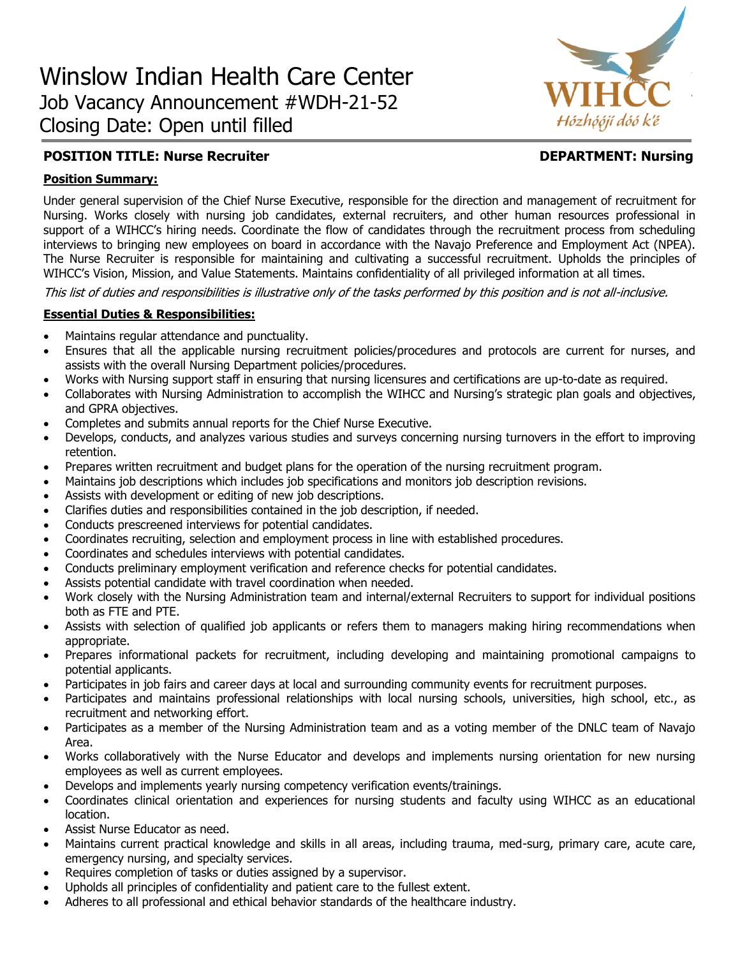

# **POSITION TITLE: Nurse Recruiter Construction Construction CEPARTMENT: Nursing**

## **Position Summary:**

Under general supervision of the Chief Nurse Executive, responsible for the direction and management of recruitment for Nursing. Works closely with nursing job candidates, external recruiters, and other human resources professional in support of a WIHCC's hiring needs. Coordinate the flow of candidates through the recruitment process from scheduling interviews to bringing new employees on board in accordance with the Navajo Preference and Employment Act (NPEA). The Nurse Recruiter is responsible for maintaining and cultivating a successful recruitment. Upholds the principles of WIHCC's Vision, Mission, and Value Statements. Maintains confidentiality of all privileged information at all times.

This list of duties and responsibilities is illustrative only of the tasks performed by this position and is not all-inclusive.

### **Essential Duties & Responsibilities:**

- Maintains regular attendance and punctuality.
- Ensures that all the applicable nursing recruitment policies/procedures and protocols are current for nurses, and assists with the overall Nursing Department policies/procedures.
- Works with Nursing support staff in ensuring that nursing licensures and certifications are up-to-date as required.
- Collaborates with Nursing Administration to accomplish the WIHCC and Nursing's strategic plan goals and objectives, and GPRA objectives.
- Completes and submits annual reports for the Chief Nurse Executive.
- Develops, conducts, and analyzes various studies and surveys concerning nursing turnovers in the effort to improving retention.
- Prepares written recruitment and budget plans for the operation of the nursing recruitment program.
- Maintains job descriptions which includes job specifications and monitors job description revisions.
- Assists with development or editing of new job descriptions.
- Clarifies duties and responsibilities contained in the job description, if needed.
- Conducts prescreened interviews for potential candidates.
- Coordinates recruiting, selection and employment process in line with established procedures.
- Coordinates and schedules interviews with potential candidates.
- Conducts preliminary employment verification and reference checks for potential candidates.
- Assists potential candidate with travel coordination when needed.
- Work closely with the Nursing Administration team and internal/external Recruiters to support for individual positions both as FTE and PTE.
- Assists with selection of qualified job applicants or refers them to managers making hiring recommendations when appropriate.
- Prepares informational packets for recruitment, including developing and maintaining promotional campaigns to potential applicants.
- Participates in job fairs and career days at local and surrounding community events for recruitment purposes.
- Participates and maintains professional relationships with local nursing schools, universities, high school, etc., as recruitment and networking effort.
- Participates as a member of the Nursing Administration team and as a voting member of the DNLC team of Navajo Area.
- Works collaboratively with the Nurse Educator and develops and implements nursing orientation for new nursing employees as well as current employees.
- Develops and implements yearly nursing competency verification events/trainings.
- Coordinates clinical orientation and experiences for nursing students and faculty using WIHCC as an educational location.
- Assist Nurse Educator as need.
- Maintains current practical knowledge and skills in all areas, including trauma, med-surg, primary care, acute care, emergency nursing, and specialty services.
- Requires completion of tasks or duties assigned by a supervisor.
- Upholds all principles of confidentiality and patient care to the fullest extent.
- Adheres to all professional and ethical behavior standards of the healthcare industry.